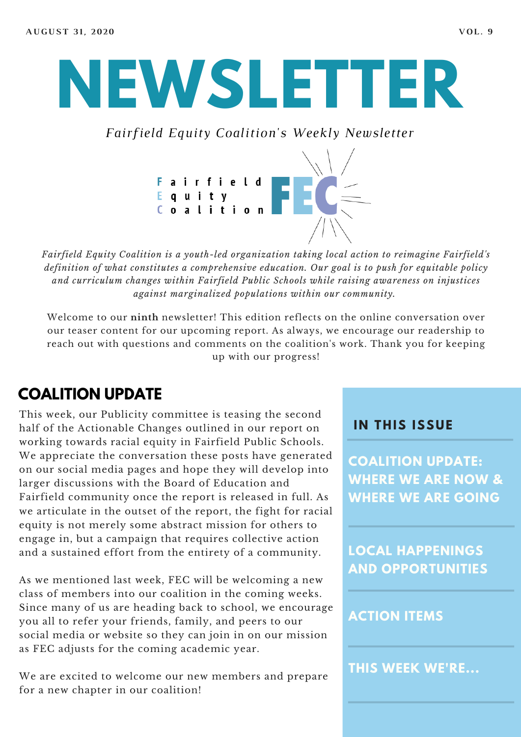# **NEWSLETTER**

*Fairfield Equity Coalition's Weekly Newsletter*



*Fairfield Equity Coalition is a youth-led organization taking local action to reimagine Fairfield's definition of what constitutes a comprehensive education. Our goal is to push for equitable policy and curriculum changes within Fairfield Public Schools while raising awareness on injustices against marginalized populations within our community.*

Welcome to our **ninth** newsletter! This edition reflects on the online conversation over our teaser content for our upcoming report. As always, we encourage our readership to reach out with questions and comments on the coalition's work. Thank you for keeping up with our progress!

## **COALITION UPDATE**

This week, our Publicity committee is teasing the second half of the Actionable Changes outlined in our report on working towards racial equity in Fairfield Public Schools. We appreciate the conversation these posts have generated on our social media pages and hope they will develop into larger discussions with the Board of Education and Fairfield community once the report is released in full. As we articulate in the outset of the report, the fight for racial equity is not merely some abstract mission for others to engage in, but a campaign that requires collective action and a sustained effort from the entirety of a community.

As we mentioned last week, FEC will be welcoming a new class of members into our coalition in the coming weeks. Since many of us are heading back to school, we encourage you all to refer your friends, family, and peers to our social media or website so they can join in on our mission as FEC adjusts for the coming academic year.

We are excited to welcome our new members and prepare for a new chapter in our coalition!

#### **I N THIS ISSUE**

**COALITION UPDATE: WHERE WE ARE NOW & WHERE WE ARE GOING**

**LOCAL HAPPENINGS AND OPPORTUNITIES**

#### **ACTION ITEMS**

**THIS WEEK WE'RE...**